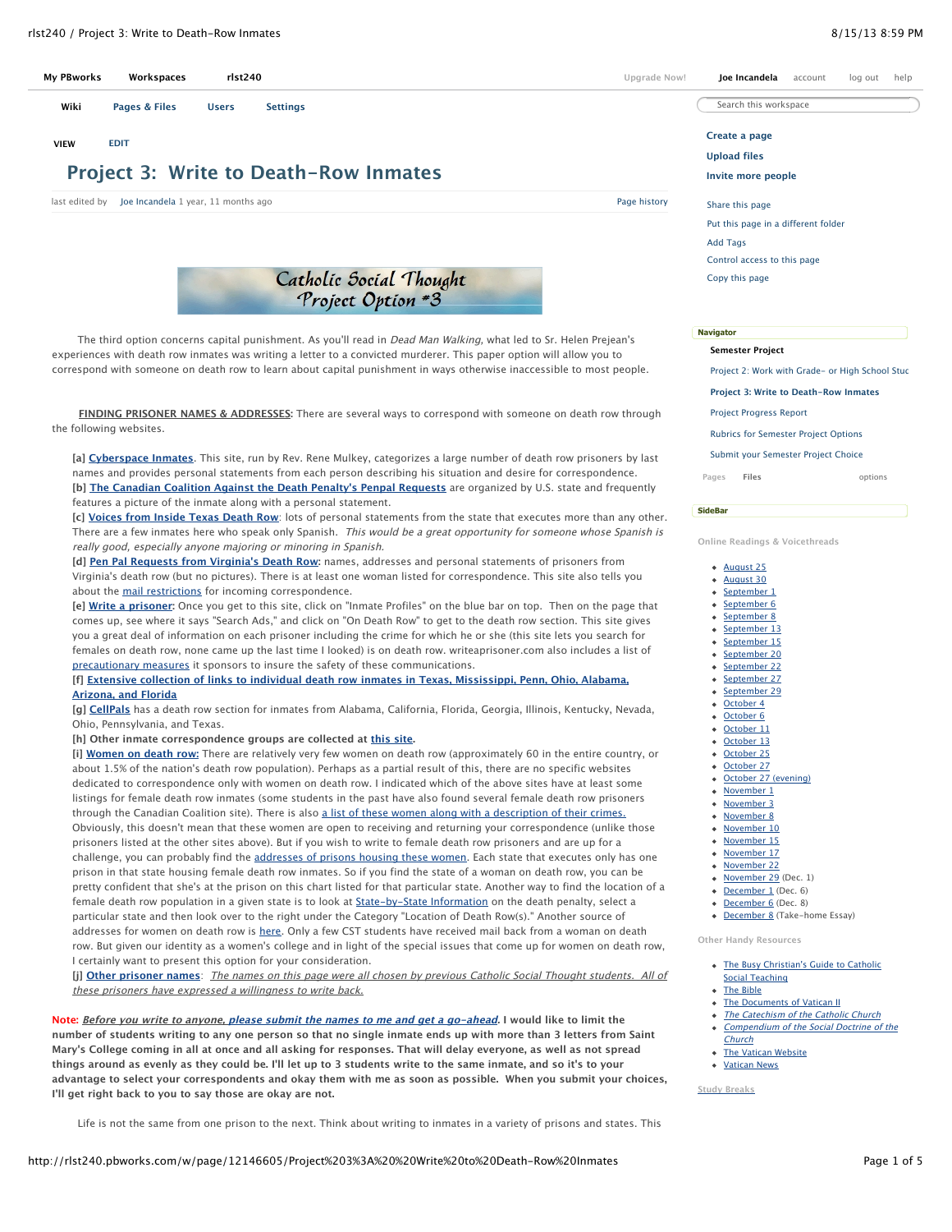| <b>My PBworks</b><br>rlst240<br>Workspaces                                                                                                                                                                                                        |                                                                                                                           | Upgrade Now!                                                                         | Joe Incandela<br>account                            | log out<br>help |  |
|---------------------------------------------------------------------------------------------------------------------------------------------------------------------------------------------------------------------------------------------------|---------------------------------------------------------------------------------------------------------------------------|--------------------------------------------------------------------------------------|-----------------------------------------------------|-----------------|--|
| Wiki<br><b>Pages &amp; Files</b><br><b>Users</b>                                                                                                                                                                                                  | <b>Settings</b>                                                                                                           |                                                                                      | Search this workspace                               |                 |  |
| <b>EDIT</b>                                                                                                                                                                                                                                       |                                                                                                                           |                                                                                      | Create a page                                       |                 |  |
| <b>VIEW</b>                                                                                                                                                                                                                                       |                                                                                                                           |                                                                                      | <b>Upload files</b>                                 |                 |  |
| <b>Project 3: Write to Death-Row Inmates</b>                                                                                                                                                                                                      |                                                                                                                           |                                                                                      | Invite more people                                  |                 |  |
| last edited by Joe Incandela 1 year, 11 months ago<br>Page history                                                                                                                                                                                |                                                                                                                           |                                                                                      | Share this page                                     |                 |  |
|                                                                                                                                                                                                                                                   |                                                                                                                           |                                                                                      | Put this page in a different folder                 |                 |  |
|                                                                                                                                                                                                                                                   |                                                                                                                           |                                                                                      | <b>Add Tags</b>                                     |                 |  |
|                                                                                                                                                                                                                                                   |                                                                                                                           |                                                                                      | Control access to this page                         |                 |  |
|                                                                                                                                                                                                                                                   | Catholic Social Thought                                                                                                   |                                                                                      | Copy this page                                      |                 |  |
|                                                                                                                                                                                                                                                   | Project Option *3                                                                                                         |                                                                                      |                                                     |                 |  |
|                                                                                                                                                                                                                                                   | The third option concerns capital punishment. As you'll read in <i>Dead Man Walking</i> , what led to Sr. Helen Prejean's |                                                                                      | <b>Navigator</b>                                    |                 |  |
| experiences with death row inmates was writing a letter to a convicted murderer. This paper option will allow you to                                                                                                                              |                                                                                                                           |                                                                                      | <b>Semester Project</b>                             |                 |  |
| correspond with someone on death row to learn about capital punishment in ways otherwise inaccessible to most people.                                                                                                                             |                                                                                                                           |                                                                                      | Project 2: Work with Grade- or High School Stuc     |                 |  |
|                                                                                                                                                                                                                                                   |                                                                                                                           |                                                                                      | Project 3: Write to Death-Row Inmates               |                 |  |
| <b>FINDING PRISONER NAMES &amp; ADDRESSES:</b> There are several ways to correspond with someone on death row through                                                                                                                             |                                                                                                                           |                                                                                      | Project Progress Report                             |                 |  |
| the following websites.                                                                                                                                                                                                                           |                                                                                                                           | Rubrics for Semester Project Options                                                 |                                                     |                 |  |
|                                                                                                                                                                                                                                                   | [a] Cyberspace Inmates. This site, run by Rev. Rene Mulkey, categorizes a large number of death row prisoners by last     |                                                                                      | Submit your Semester Project Choice                 |                 |  |
|                                                                                                                                                                                                                                                   | names and provides personal statements from each person describing his situation and desire for correspondence.           |                                                                                      | Files<br>Pages                                      | options         |  |
| features a picture of the inmate along with a personal statement.                                                                                                                                                                                 | [b] The Canadian Coalition Against the Death Penalty's Penpal Requests are organized by U.S. state and frequently         |                                                                                      |                                                     |                 |  |
| [c] Voices from Inside Texas Death Row: lots of personal statements from the state that executes more than any other.                                                                                                                             |                                                                                                                           | <b>SideBar</b>                                                                       |                                                     |                 |  |
| really good, especially anyone majoring or minoring in Spanish.                                                                                                                                                                                   | There are a few inmates here who speak only Spanish. This would be a great opportunity for someone whose Spanish is       |                                                                                      | Online Readings & Voicethreads                      |                 |  |
|                                                                                                                                                                                                                                                   | [d] Pen Pal Requests from Virginia's Death Row: names, addresses and personal statements of prisoners from                |                                                                                      | • August 25                                         |                 |  |
| Virginia's death row (but no pictures). There is at least one woman listed for correspondence. This site also tells you<br>about the mail restrictions for incoming correspondence.                                                               |                                                                                                                           | <b>August 30</b><br>September 1                                                      |                                                     |                 |  |
| [e] Write a prisoner: Once you get to this site, click on "Inmate Profiles" on the blue bar on top. Then on the page that                                                                                                                         |                                                                                                                           |                                                                                      | September 6                                         |                 |  |
| comes up, see where it says "Search Ads," and click on "On Death Row" to get to the death row section. This site gives                                                                                                                            |                                                                                                                           |                                                                                      | September 8<br>September 13                         |                 |  |
| you a great deal of information on each prisoner including the crime for which he or she (this site lets you search for<br>females on death row, none came up the last time I looked) is on death row. writeaprisoner.com also includes a list of |                                                                                                                           |                                                                                      | September 15<br>September 20                        |                 |  |
| precautionary measures it sponsors to insure the safety of these communications.                                                                                                                                                                  |                                                                                                                           | September 22                                                                         |                                                     |                 |  |
|                                                                                                                                                                                                                                                   | [f] Extensive collection of links to individual death row inmates in Texas, Mississippi, Penn, Ohio, Alabama,             |                                                                                      | September 27<br>• September 29                      |                 |  |
| Arizona, and Florida<br>[g] CellPals has a death row section for inmates from Alabama, California, Florida, Georgia, Illinois, Kentucky, Nevada,                                                                                                  |                                                                                                                           | October 4                                                                            |                                                     |                 |  |
| Ohio, Pennsylvania, and Texas.                                                                                                                                                                                                                    |                                                                                                                           | • October 6<br>October 11                                                            |                                                     |                 |  |
| [h] Other inmate correspondence groups are collected at this site.<br>[i] Women on death row: There are relatively very few women on death row (approximately 60 in the entire country, or                                                        |                                                                                                                           | October 13<br>October 25                                                             |                                                     |                 |  |
| about 1.5% of the nation's death row population). Perhaps as a partial result of this, there are no specific websites                                                                                                                             |                                                                                                                           | October 27                                                                           |                                                     |                 |  |
| dedicated to correspondence only with women on death row. I indicated which of the above sites have at least some                                                                                                                                 |                                                                                                                           |                                                                                      | October 27 (evening)<br>November 1                  |                 |  |
| listings for female death row inmates (some students in the past have also found several female death row prisoners<br>through the Canadian Coalition site). There is also a list of these women along with a description of their crimes.        |                                                                                                                           |                                                                                      | November 3<br>November 8                            |                 |  |
| Obviously, this doesn't mean that these women are open to receiving and returning your correspondence (unlike those                                                                                                                               |                                                                                                                           |                                                                                      | November 10                                         |                 |  |
| prisoners listed at the other sites above). But if you wish to write to female death row prisoners and are up for a<br>challenge, you can probably find the addresses of prisons housing these women. Each state that executes only has one       |                                                                                                                           |                                                                                      | November 15<br>November 17                          |                 |  |
| prison in that state housing female death row inmates. So if you find the state of a woman on death row, you can be                                                                                                                               |                                                                                                                           | • November 22                                                                        |                                                     |                 |  |
| pretty confident that she's at the prison on this chart listed for that particular state. Another way to find the location of a                                                                                                                   |                                                                                                                           | November 29 (Dec. 1)<br>December 1 (Dec. 6)                                          |                                                     |                 |  |
| female death row population in a given state is to look at State-by-State Information on the death penalty, select a<br>particular state and then look over to the right under the Category "Location of Death Row(s)." Another source of         |                                                                                                                           |                                                                                      | December 6 (Dec. 8)<br>December 8 (Take-home Essay) |                 |  |
| addresses for women on death row is here. Only a few CST students have received mail back from a woman on death<br>row. But given our identity as a women's college and in light of the special issues that come up for women on death row,       |                                                                                                                           | <b>Other Handy Resources</b>                                                         |                                                     |                 |  |
| I certainly want to present this option for your consideration.                                                                                                                                                                                   |                                                                                                                           |                                                                                      | . The Busy Christian's Guide to Catholic            |                 |  |
| [i] Other prisoner names: The names on this page were all chosen by previous Catholic Social Thought students. All of<br>these prisoners have expressed a willingness to write back.                                                              |                                                                                                                           | <b>Social Teaching</b><br>• The Bible                                                |                                                     |                 |  |
|                                                                                                                                                                                                                                                   |                                                                                                                           |                                                                                      | • The Documents of Vatican II                       |                 |  |
| Note: Before you write to anyone, please submit the names to me and get a go-ahead. I would like to limit the<br>number of students writing to any one person so that no single inmate ends up with more than 3 letters from Saint                |                                                                                                                           | • The Catechism of the Catholic Church<br>• Compendium of the Social Doctrine of the |                                                     |                 |  |
| Mary's College coming in all at once and all asking for responses. That will delay everyone, as well as not spread                                                                                                                                |                                                                                                                           |                                                                                      | Church<br>• The Vatican Website                     |                 |  |
| things around as evenly as they could be. I'll let up to 3 students write to the same inmate, and so it's to your                                                                                                                                 |                                                                                                                           | <b>Vatican News</b>                                                                  |                                                     |                 |  |
| advantage to select your correspondents and okay them with me as soon as possible. When you submit your choices,<br>I'll get right back to you to say those are okay are not.                                                                     |                                                                                                                           |                                                                                      | <b>Study Breaks</b>                                 |                 |  |
|                                                                                                                                                                                                                                                   |                                                                                                                           |                                                                                      |                                                     |                 |  |

Life is not the same from one prison to the next. Think about writing to inmates in a variety of prisons and states. This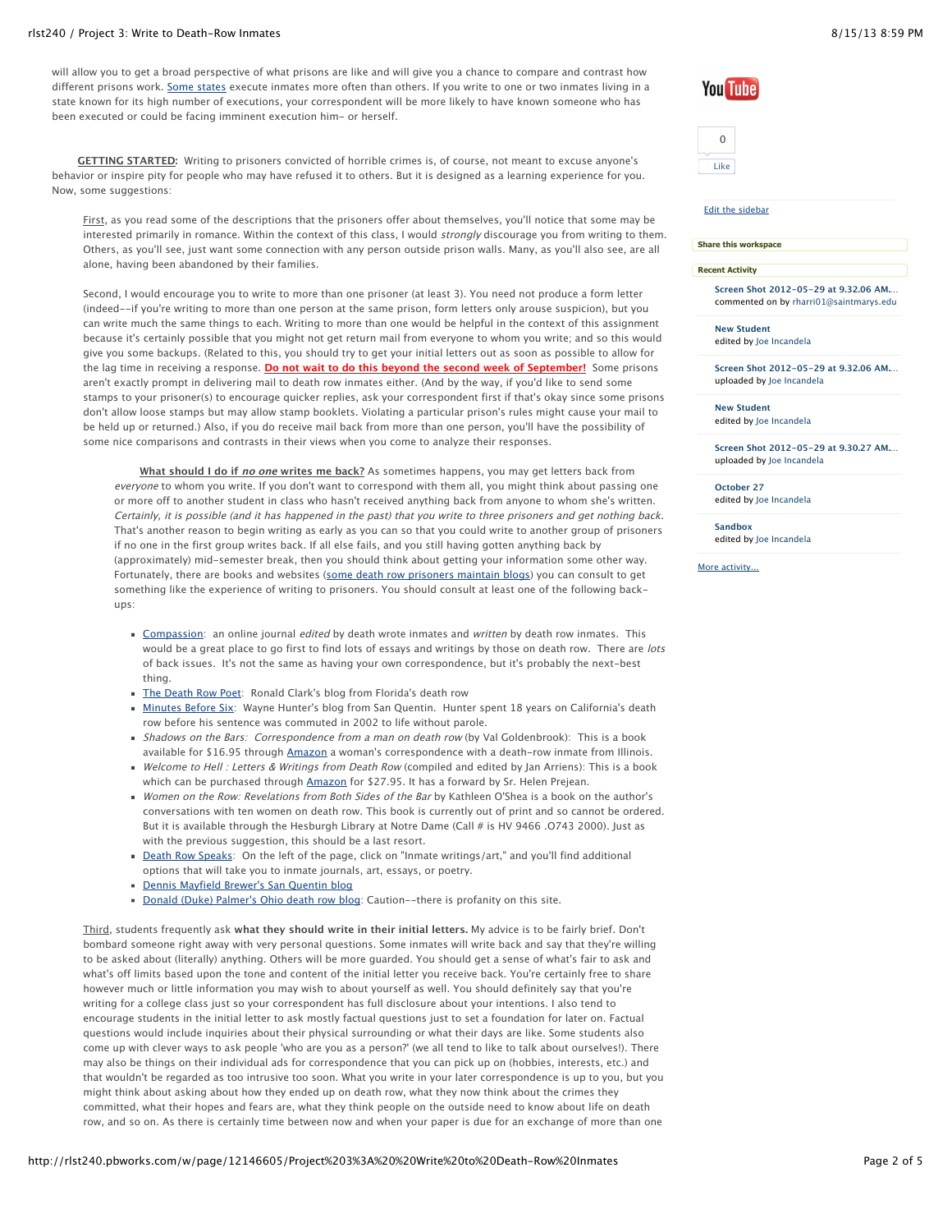## rlst240 / Project 3: Write to Death-Row Inmates 8/15/13 8:59 PM

will allow you to get a broad perspective of what prisons are like and will give you a chance to compare and contrast how different prisons work. [Some states](http://www.deathpenaltyinfo.org/number-executions-state-and-region-1976) execute inmates more often than others. If you write to one or two inmates living in a state known for its high number of executions, your correspondent will be more likely to have known someone who has been executed or could be facing imminent execution him- or herself.

 **GETTING STARTED:** Writing to prisoners convicted of horrible crimes is, of course, not meant to excuse anyone's behavior or inspire pity for people who may have refused it to others. But it is designed as a learning experience for you. Now, some suggestions:

First, as you read some of the descriptions that the prisoners offer about themselves, you'll notice that some may be interested primarily in romance. Within the context of this class, I would *strongly* discourage you from writing to them. Others, as you'll see, just want some connection with any person outside prison walls. Many, as you'll also see, are all alone, having been abandoned by their families.

Second, I would encourage you to write to more than one prisoner (at least 3). You need not produce a form letter (indeed--if you're writing to more than one person at the same prison, form letters only arouse suspicion), but you can write much the same things to each. Writing to more than one would be helpful in the context of this assignment because it's certainly possible that you might not get return mail from everyone to whom you write; and so this would give you some backups. (Related to this, you should try to get your initial letters out as soon as possible to allow for the lag time in receiving a response. **Do not wait to do this beyond the second week of September!** Some prisons aren't exactly prompt in delivering mail to death row inmates either. (And by the way, if you'd like to send some stamps to your prisoner(s) to encourage quicker replies, ask your correspondent first if that's okay since some prisons don't allow loose stamps but may allow stamp booklets. Violating a particular prison's rules might cause your mail to be held up or returned.) Also, if you do receive mail back from more than one person, you'll have the possibility of some nice comparisons and contrasts in their views when you come to analyze their responses.

 **What should I do if no one writes me back?** As sometimes happens, you may get letters back from everyone to whom you write. If you don't want to correspond with them all, you might think about passing one or more off to another student in class who hasn't received anything back from anyone to whom she's written. Certainly, it is possible (and it has happened in the past) that you write to three prisoners and get nothing back. That's another reason to begin writing as early as you can so that you could write to another group of prisoners if no one in the first group writes back. If all else fails, and you still having gotten anything back by (approximately) mid-semester break, then you should think about getting your information some other way. Fortunately, there are books and websites ([some death row prisoners maintain blogs\)](http://abcnews.go.com/US/blogging-death-row-inmates-victims/story?id=14473507) you can consult to get something like the experience of writing to prisoners. You should consult at least one of the following backups:

- [Compassion:](http://www.compassionondeathrow.net/) an online journal edited by death wrote inmates and written by death row inmates. This would be a great place to go first to find lots of essays and writings by those on death row. There are lots of back issues. It's not the same as having your own correspondence, but it's probably the next-best thing.
- [The Death Row Poet:](http://www.angelfire.com/fl4/fci/ronaldclarkjr.html) Ronald Clark's blog from Florida's death row
- [Minutes Before Six](http://minutesbeforesix.blogspot.com/): Wayne Hunter's blog from San Quentin. Hunter spent 18 years on California's death row before his sentence was commuted in 2002 to life without parole.
- Shadows on the Bars: Correspondence from a man on death row (by Val Goldenbrook): This is a book available for \$16.95 through [Amazon](http://www.amazon.com/Shadows-Bars-Correspondence-man-Death/dp/144956139X/ref=sr_1_1?ie=UTF8&qid=1312133412&sr=8-1) a woman's correspondence with a death-row inmate from Illinois.
- Welcome to Hell : Letters & Writings from Death Row (compiled and edited by Jan Arriens): This is a book which can be purchased through [Amazon](http://www.amazon.com/Welcome-Hell-Letters-Writings-Death/dp/1555536360/ref=sr_1_13?ie=UTF8&s=books&qid=1249154254&sr=8-13) for \$27.95. It has a forward by Sr. Helen Prejean.
- Women on the Row: Revelations from Both Sides of the Bar by Kathleen O'Shea is a book on the author's conversations with ten women on death row. This book is currently out of print and so cannot be ordered. But it is available through the Hesburgh Library at Notre Dame (Call # is HV 9466 .O743 2000). Just as with the previous suggestion, this should be a last resort.
- [Death Row Speaks:](http://web.archive.org/web/20080205063046/http://www.deathrowspeaks.info/) On the left of the page, click on "Inmate writings/art," and you'll find additional options that will take you to inmate journals, art, essays, or poetry.
- [Dennis Mayfield Brewer's San Quentin blog](http://www.walkalones.blogspot.com/)
- [Donald \(Duke\) Palmer's Ohio death row blog:](http://www.ohiodeathrowinmate.blogspot.com/) Caution--there is profanity on this site.

Third, students frequently ask **what they should write in their initial letters.** My advice is to be fairly brief. Don't bombard someone right away with very personal questions. Some inmates will write back and say that they're willing to be asked about (literally) anything. Others will be more guarded. You should get a sense of what's fair to ask and what's off limits based upon the tone and content of the initial letter you receive back. You're certainly free to share however much or little information you may wish to about yourself as well. You should definitely say that you're writing for a college class just so your correspondent has full disclosure about your intentions. I also tend to encourage students in the initial letter to ask mostly factual questions just to set a foundation for later on. Factual questions would include inquiries about their physical surrounding or what their days are like. Some students also come up with clever ways to ask people 'who are you as a person?' (we all tend to like to talk about ourselves!). There may also be things on their individual ads for correspondence that you can pick up on (hobbies, interests, etc.) and that wouldn't be regarded as too intrusive too soon. What you write in your later correspondence is up to you, but you might think about asking about how they ended up on death row, what they now think about the crimes they committed, what their hopes and fears are, what they think people on the outside need to know about life on death row, and so on. As there is certainly time between now and when your paper is due for an exchange of more than one







# [Edit the sidebar](http://rlst240.pbworks.com/w/page/12146628/SideBar#view=edit)

#### **Share this workspace**

**Recent Activity**

**[Screen Shot 2012-05-29 at 9.32.06 AM.…](http://rlst240.pbworks.com/w/file/54084646/Screen%20Shot%202012-05-29%20at%209.32.06%20AM.png)** commented on by [rharri01@saintmarys.edu](http://rlst240.pbworks.com/user/e2abae64e72525981031f8eb6456bd4610fd2a9f)

**[New Student](http://rlst240.pbworks.com/w/page/43556171/New%20Student)** edited by [Joe Incandela](http://rlst240.pbworks.com/user/d0e2e808ce9e5d182b2bd77fb943debc6195abf3)

**[Screen Shot 2012-05-29 at 9.32.06 AM.…](http://rlst240.pbworks.com/w/file/54084646/Screen%20Shot%202012-05-29%20at%209.32.06%20AM.png)** uploaded by [Joe Incandela](http://rlst240.pbworks.com/user/d0e2e808ce9e5d182b2bd77fb943debc6195abf3)

**[New Student](http://rlst240.pbworks.com/w/page/43556171/New%20Student)** edited by [Joe Incandela](http://rlst240.pbworks.com/user/d0e2e808ce9e5d182b2bd77fb943debc6195abf3)

**[Screen Shot 2012-05-29 at 9.30.27 AM.…](http://rlst240.pbworks.com/w/file/54084618/Screen%20Shot%202012-05-29%20at%209.30.27%20AM.png)** uploaded by [Joe Incandela](http://rlst240.pbworks.com/user/d0e2e808ce9e5d182b2bd77fb943debc6195abf3)

**[October 27](http://rlst240.pbworks.com/w/page/12146595/October%2027)** edited by [Joe Incandela](http://rlst240.pbworks.com/user/d0e2e808ce9e5d182b2bd77fb943debc6195abf3)

**[Sandbox](http://rlst240.pbworks.com/w/page/12146609/Sandbox)** edited by [Joe Incandela](http://rlst240.pbworks.com/user/d0e2e808ce9e5d182b2bd77fb943debc6195abf3)

[More activity...](http://rlst240.pbworks.com/changes.php)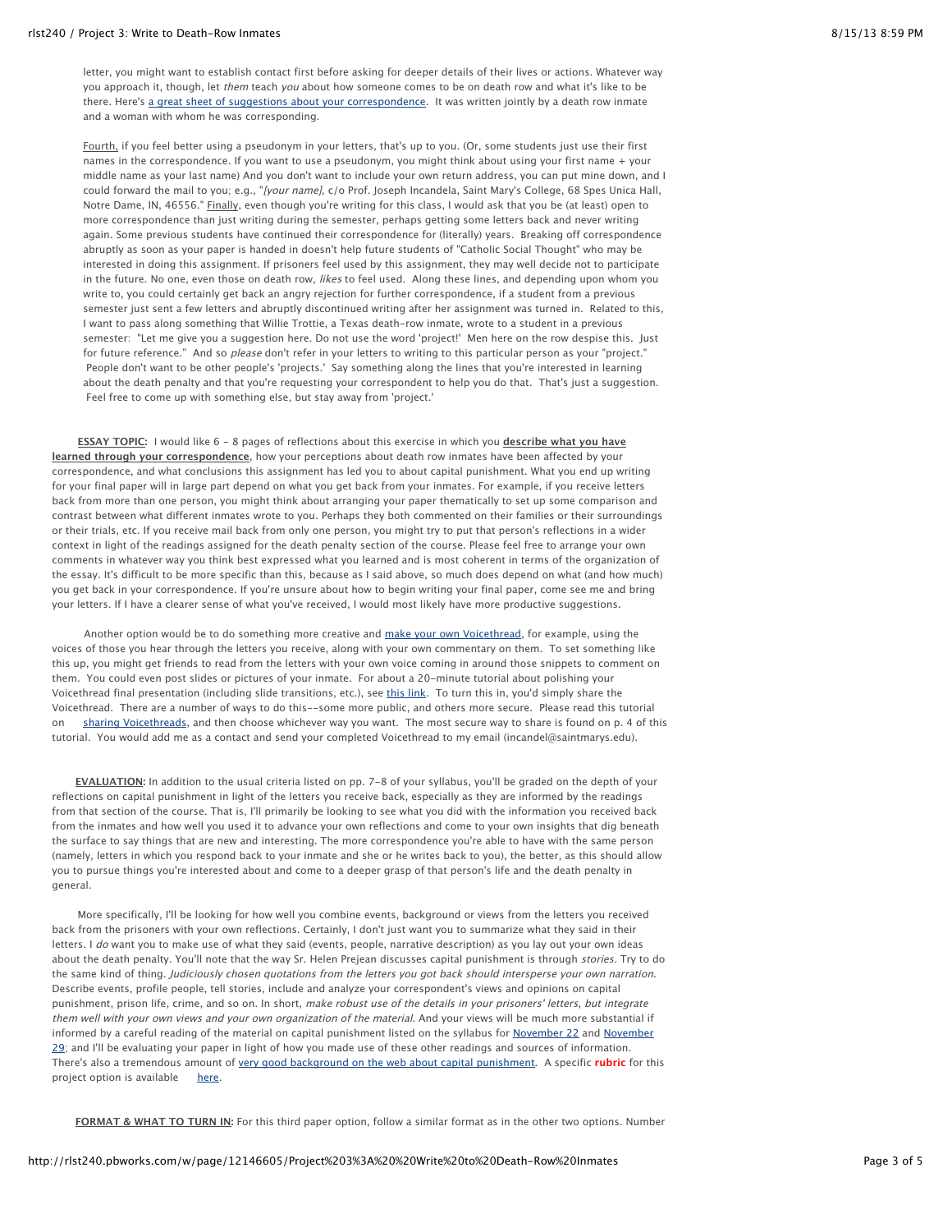letter, you might want to establish contact first before asking for deeper details of their lives or actions. Whatever way you approach it, though, let them teach you about how someone comes to be on death row and what it's like to be there. Here's [a great sheet of suggestions about your correspondence.](http://rlst240.pbworks.com/f/Penpal%20duties.doc) It was written jointly by a death row inmate and a woman with whom he was corresponding.

Fourth, if you feel better using a pseudonym in your letters, that's up to you. (Or, some students just use their first names in the correspondence. If you want to use a pseudonym, you might think about using your first name + your middle name as your last name) And you don't want to include your own return address, you can put mine down, and I could forward the mail to you; e.g., "[your name], c/o Prof. Joseph Incandela, Saint Mary's College, 68 Spes Unica Hall, Notre Dame, IN, 46556." Finally, even though you're writing for this class, I would ask that you be (at least) open to more correspondence than just writing during the semester, perhaps getting some letters back and never writing again. Some previous students have continued their correspondence for (literally) years. Breaking off correspondence abruptly as soon as your paper is handed in doesn't help future students of "Catholic Social Thought" who may be interested in doing this assignment. If prisoners feel used by this assignment, they may well decide not to participate in the future. No one, even those on death row, likes to feel used. Along these lines, and depending upon whom you write to, you could certainly get back an angry rejection for further correspondence, if a student from a previous semester just sent a few letters and abruptly discontinued writing after her assignment was turned in. Related to this, I want to pass along something that Willie Trottie, a Texas death-row inmate, wrote to a student in a previous semester: "Let me give you a suggestion here. Do not use the word 'project!' Men here on the row despise this. Just for future reference." And so please don't refer in your letters to writing to this particular person as your "project." People don't want to be other people's 'projects.' Say something along the lines that you're interested in learning about the death penalty and that you're requesting your correspondent to help you do that. That's just a suggestion. Feel free to come up with something else, but stay away from 'project.'

 **ESSAY TOPIC:** I would like 6 - 8 pages of reflections about this exercise in which you **describe what you have learned through your correspondence**, how your perceptions about death row inmates have been affected by your correspondence, and what conclusions this assignment has led you to about capital punishment. What you end up writing for your final paper will in large part depend on what you get back from your inmates. For example, if you receive letters back from more than one person, you might think about arranging your paper thematically to set up some comparison and contrast between what different inmates wrote to you. Perhaps they both commented on their families or their surroundings or their trials, etc. If you receive mail back from only one person, you might try to put that person's reflections in a wider context in light of the readings assigned for the death penalty section of the course. Please feel free to arrange your own comments in whatever way you think best expressed what you learned and is most coherent in terms of the organization of the essay. It's difficult to be more specific than this, because as I said above, so much does depend on what (and how much) you get back in your correspondence. If you're unsure about how to begin writing your final paper, come see me and bring your letters. If I have a clearer sense of what you've received, I would most likely have more productive suggestions.

Another option would be to do something more creative and [make your own Voicethread,](http://voicethread.com/?#u360835.b8381.i61448) for example, using the voices of those you hear through the letters you receive, along with your own commentary on them. To set something like this up, you might get friends to read from the letters with your own voice coming in around those snippets to comment on them. You could even post slides or pictures of your inmate. For about a 20-minute tutorial about polishing your Voicethread final presentation (including slide transitions, etc.), see [this link](https://voicethread.com/media/misc/IntroductionToVoiceThread.mov). To turn this in, you'd simply share the Voicethread. There are a number of ways to do this--some more public, and others more secure. Please read this tutorial on [sharing Voicethreads](http://rlst240.pbworks.com/f/sharing_voicethreads.pdf), and then choose whichever way you want. The most secure way to share is found on p. 4 of this tutorial. You would add me as a contact and send your completed Voicethread to my email (incandel@saintmarys.edu).

 **EVALUATION:** In addition to the usual criteria listed on pp. 7-8 of your syllabus, you'll be graded on the depth of your reflections on capital punishment in light of the letters you receive back, especially as they are informed by the readings from that section of the course. That is, I'll primarily be looking to see what you did with the information you received back from the inmates and how well you used it to advance your own reflections and come to your own insights that dig beneath the surface to say things that are new and interesting. The more correspondence you're able to have with the same person (namely, letters in which you respond back to your inmate and she or he writes back to you), the better, as this should allow you to pursue things you're interested about and come to a deeper grasp of that person's life and the death penalty in general.

 More specifically, I'll be looking for how well you combine events, background or views from the letters you received back from the prisoners with your own reflections. Certainly, I don't just want you to summarize what they said in their letters. I do want you to make use of what they said (events, people, narrative description) as you lay out your own ideas about the death penalty. You'll note that the way Sr. Helen Prejean discusses capital punishment is through stories. Try to do the same kind of thing. Judiciously chosen quotations from the letters you got back should intersperse your own narration. Describe events, profile people, tell stories, include and analyze your correspondent's views and opinions on capital punishment, prison life, crime, and so on. In short, make robust use of the details in your prisoners' letters, but integrate them well with your own views and your own organization of the material. And your views will be much more substantial if [informed by a careful reading of the material on capital punishment listed on the syllabus for](http://rlst240.pbworks.com/w/page/12146528/November%2029) [November 22](http://rlst240.pbworks.com/w/page/12146580/November%2022) [and November](http://rlst240.pbworks.com/w/page/12146528/November%2029) 29; and I'll be evaluating your paper in light of how you made use of these other readings and sources of information. There's also a tremendous amount of [very good background on the web about capital punishment](http://www.saintmarys.edu/~incandel/cst.html#CAPITAL). A specific **rubric** for this project option is available [here.](http://rlst240.pbworks.com/f/Project%233Rubric.xls)

 **FORMAT & WHAT TO TURN IN:** For this third paper option, follow a similar format as in the other two options. Number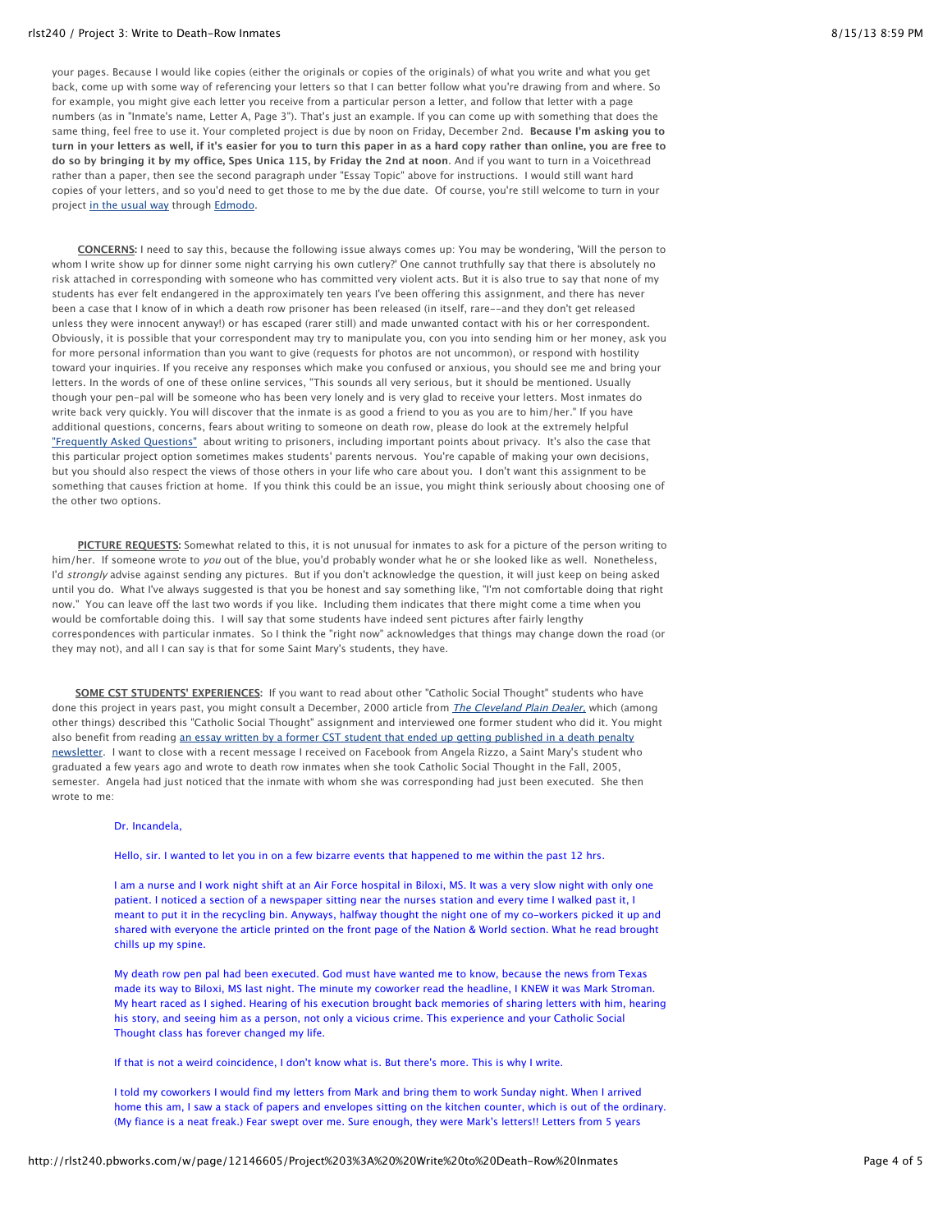### rlst240 / Project 3: Write to Death-Row Inmates 8/15/13 8:59 PM

your pages. Because I would like copies (either the originals or copies of the originals) of what you write and what you get back, come up with some way of referencing your letters so that I can better follow what you're drawing from and where. So for example, you might give each letter you receive from a particular person a letter, and follow that letter with a page numbers (as in "Inmate's name, Letter A, Page 3"). That's just an example. If you can come up with something that does the same thing, feel free to use it. Your completed project is due by noon on Friday, December 2nd. **Because I'm asking you to turn in your letters as well, if it's easier for you to turn this paper in as a hard copy rather than online, you are free to do so by bringing it by my office, Spes Unica 115, by Friday the 2nd at noon**. And if you want to turn in a Voicethread rather than a paper, then see the second paragraph under "Essay Topic" above for instructions. I would still want hard copies of your letters, and so you'd need to get those to me by the due date. Of course, you're still welcome to turn in your project [in the usual way](http://rlst240.pbworks.com/HOW%20TO%20turn%20in%20and%20get%20back%20papers) through [Edmodo.](http://www.edmodo.com/)

 **CONCERNS:** I need to say this, because the following issue always comes up: You may be wondering, 'Will the person to whom I write show up for dinner some night carrying his own cutlery?' One cannot truthfully say that there is absolutely no risk attached in corresponding with someone who has committed very violent acts. But it is also true to say that none of my students has ever felt endangered in the approximately ten years I've been offering this assignment, and there has never been a case that I know of in which a death row prisoner has been released (in itself, rare--and they don't get released unless they were innocent anyway!) or has escaped (rarer still) and made unwanted contact with his or her correspondent. Obviously, it is possible that your correspondent may try to manipulate you, con you into sending him or her money, ask you for more personal information than you want to give (requests for photos are not uncommon), or respond with hostility toward your inquiries. If you receive any responses which make you confused or anxious, you should see me and bring your letters. In the words of one of these online services, "This sounds all very serious, but it should be mentioned. Usually though your pen-pal will be someone who has been very lonely and is very glad to receive your letters. Most inmates do write back very quickly. You will discover that the inmate is as good a friend to you as you are to him/her." If you have additional questions, concerns, fears about writing to someone on death row, please do look at the extremely helpful ["Frequently Asked Questions"](http://web.archive.org/web/20010119074500/pennpals.org/faq.html) about writing to prisoners, including important points about privacy. It's also the case that this particular project option sometimes makes students' parents nervous. You're capable of making your own decisions, but you should also respect the views of those others in your life who care about you. I don't want this assignment to be something that causes friction at home. If you think this could be an issue, you might think seriously about choosing one of the other two options.

 **PICTURE REQUESTS:** Somewhat related to this, it is not unusual for inmates to ask for a picture of the person writing to him/her. If someone wrote to you out of the blue, you'd probably wonder what he or she looked like as well. Nonetheless, I'd strongly advise against sending any pictures. But if you don't acknowledge the question, it will just keep on being asked until you do. What I've always suggested is that you be honest and say something like, "I'm not comfortable doing that right now." You can leave off the last two words if you like. Including them indicates that there might come a time when you would be comfortable doing this. I will say that some students have indeed sent pictures after fairly lengthy correspondences with particular inmates. So I think the "right now" acknowledges that things may change down the road (or they may not), and all I can say is that for some Saint Mary's students, they have.

 **SOME CST STUDENTS' EXPERIENCES:** If you want to read about other "Catholic Social Thought" students who have done this project in years past, you might consult a December, 2000 article from *The Cleveland Plain Dealer*, which (among other things) described this "Catholic Social Thought" assignment and interviewed one former student who did it. You might also benefit from reading an essay written by a former CST student that ended up getting published in a death penalty [newsletter. I want to close with a recent message I received on Facebook from Angela Rizzo, a Saint Mary's student wh](http://www.saintmarys.edu/~incandel/Steury.pdf)o graduated a few years ago and wrote to death row inmates when she took Catholic Social Thought in the Fall, 2005, semester. Angela had just noticed that the inmate with whom she was corresponding had just been executed. She then wrote to me:

### Dr. Incandela,

Hello, sir. I wanted to let you in on a few bizarre events that happened to me within the past 12 hrs.

I am a nurse and I work night shift at an Air Force hospital in Biloxi, MS. It was a very slow night with only one patient. I noticed a section of a newspaper sitting near the nurses station and every time I walked past it, I meant to put it in the recycling bin. Anyways, halfway thought the night one of my co-workers picked it up and shared with everyone the article printed on the front page of the Nation & World section. What he read brought chills up my spine.

My death row pen pal had been executed. God must have wanted me to know, because the news from Texas made its way to Biloxi, MS last night. The minute my coworker read the headline, I KNEW it was Mark Stroman. My heart raced as I sighed. Hearing of his execution brought back memories of sharing letters with him, hearing his story, and seeing him as a person, not only a vicious crime. This experience and your Catholic Social Thought class has forever changed my life.

If that is not a weird coincidence, I don't know what is. But there's more. This is why I write.

I told my coworkers I would find my letters from Mark and bring them to work Sunday night. When I arrived home this am, I saw a stack of papers and envelopes sitting on the kitchen counter, which is out of the ordinary. (My fiance is a neat freak.) Fear swept over me. Sure enough, they were Mark's letters!! Letters from 5 years